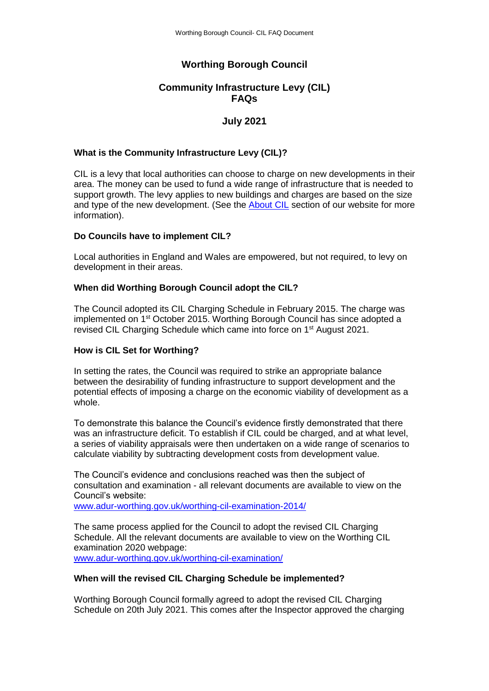# **Worthing Borough Council**

## **Community Infrastructure Levy (CIL) FAQs**

## **July 2021**

#### **What is the Community Infrastructure Levy (CIL)?**

CIL is a levy that local authorities can choose to charge on new developments in their area. The money can be used to fund a wide range of infrastructure that is needed to support growth. The levy applies to new buildings and charges are based on the size and type of the new development. (See the [About CIL](https://www.adur-worthing.gov.uk/worthing-cil/about-cil/) section of our website for more information).

#### **Do Councils have to implement CIL?**

Local authorities in England and Wales are empowered, but not required, to levy on development in their areas.

#### **When did Worthing Borough Council adopt the CIL?**

The Council adopted its CIL Charging Schedule in February 2015. The charge was implemented on 1st October 2015. Worthing Borough Council has since adopted a revised CIL Charging Schedule which came into force on 1<sup>st</sup> August 2021.

#### **How is CIL Set for Worthing?**

In setting the rates, the Council was required to strike an appropriate balance between the desirability of funding infrastructure to support development and the potential effects of imposing a charge on the economic viability of development as a whole.

To demonstrate this balance the Council's evidence firstly demonstrated that there was an infrastructure deficit. To establish if CIL could be charged, and at what level, a series of viability appraisals were then undertaken on a wide range of scenarios to calculate viability by subtracting development costs from development value.

The Council's evidence and conclusions reached was then the subject of consultation and examination - all relevant documents are available to view on the Council's website:

[www.adur-worthing.gov.uk/worthing-cil-examination-2014/](http://www.adur-worthing.gov.uk/worthing-cil-examination-2014/)

The same process applied for the Council to adopt the revised CIL Charging Schedule. All the relevant documents are available to view on the Worthing CIL examination 2020 webpage: [www.adur-worthing.gov.uk/worthing-cil-examination/](http://www.adur-worthing.gov.uk/worthing-cil-examination/)

#### **When will the revised CIL Charging Schedule be implemented?**

Worthing Borough Council formally agreed to adopt the revised CIL Charging Schedule on 20th July 2021. This comes after the Inspector approved the charging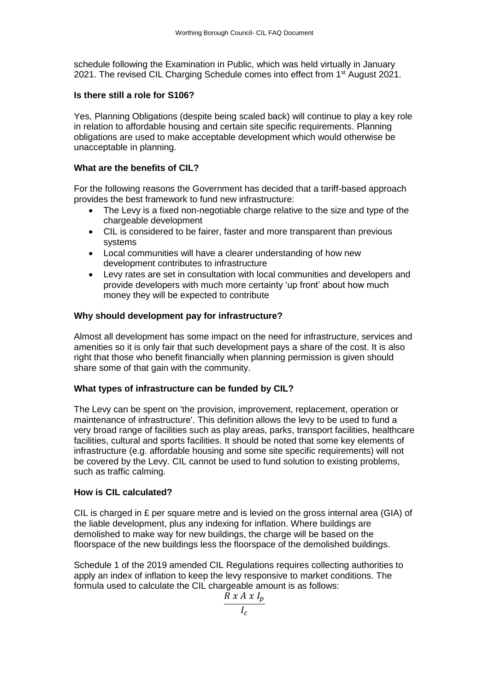schedule following the Examination in Public, which was held virtually in January 2021. The revised CIL Charging Schedule comes into effect from 1<sup>st</sup> August 2021.

### **Is there still a role for S106?**

Yes, Planning Obligations (despite being scaled back) will continue to play a key role in relation to affordable housing and certain site specific requirements. Planning obligations are used to make acceptable development which would otherwise be unacceptable in planning.

## **What are the benefits of CIL?**

For the following reasons the Government has decided that a tariff-based approach provides the best framework to fund new infrastructure:

- The Levy is a fixed non-negotiable charge relative to the size and type of the chargeable development
- CIL is considered to be fairer, faster and more transparent than previous systems
- Local communities will have a clearer understanding of how new development contributes to infrastructure
- Levy rates are set in consultation with local communities and developers and provide developers with much more certainty 'up front' about how much money they will be expected to contribute

### **Why should development pay for infrastructure?**

Almost all development has some impact on the need for infrastructure, services and amenities so it is only fair that such development pays a share of the cost. It is also right that those who benefit financially when planning permission is given should share some of that gain with the community.

### **What types of infrastructure can be funded by CIL?**

The Levy can be spent on 'the provision, improvement, replacement, operation or maintenance of infrastructure'. This definition allows the levy to be used to fund a very broad range of facilities such as play areas, parks, transport facilities, healthcare facilities, cultural and sports facilities. It should be noted that some key elements of infrastructure (e.g. affordable housing and some site specific requirements) will not be covered by the Levy. CIL cannot be used to fund solution to existing problems, such as traffic calming.

### **How is CIL calculated?**

CIL is charged in  $E$  per square metre and is levied on the gross internal area (GIA) of the liable development, plus any indexing for inflation. Where buildings are demolished to make way for new buildings, the charge will be based on the floorspace of the new buildings less the floorspace of the demolished buildings.

Schedule 1 of the 2019 amended CIL Regulations requires collecting authorities to apply an index of inflation to keep the levy responsive to market conditions. The formula used to calculate the CIL chargeable amount is as follows:

$$
R x A x I_p
$$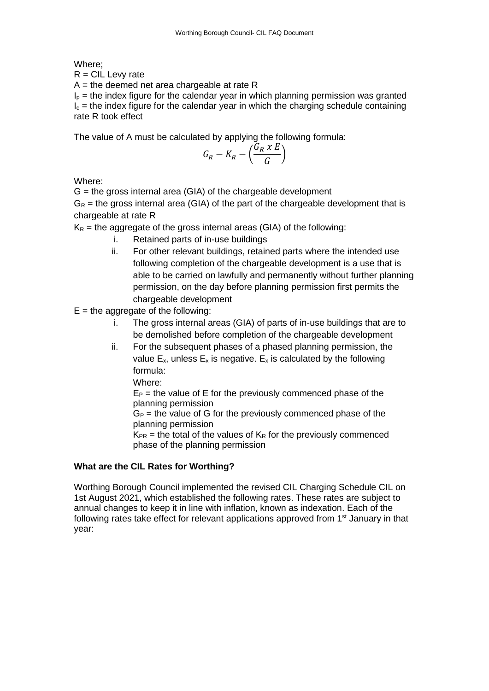Where;

 $R = CIL$  Levy rate

 $A =$  the deemed net area chargeable at rate R

 $I<sub>p</sub>$  = the index figure for the calendar year in which planning permission was granted  $I_c$  = the index figure for the calendar year in which the charging schedule containing rate R took effect

The value of A must be calculated by applying the following formula:

$$
G_R - K_R - \left(\frac{G_R \times E}{G}\right)
$$

Where:

 $G =$  the gross internal area (GIA) of the chargeable development

 $G_R$  = the gross internal area (GIA) of the part of the chargeable development that is chargeable at rate R

 $K_R$  = the aggregate of the gross internal areas (GIA) of the following:

- i. Retained parts of in-use buildings
- ii. For other relevant buildings, retained parts where the intended use following completion of the chargeable development is a use that is able to be carried on lawfully and permanently without further planning permission, on the day before planning permission first permits the chargeable development
- $E =$  the aggregate of the following:
	- i. The gross internal areas (GIA) of parts of in-use buildings that are to be demolished before completion of the chargeable development
	- ii. For the subsequent phases of a phased planning permission, the value  $E_x$ , unless  $E_x$  is negative.  $E_x$  is calculated by the following formula:
		- Where:

 $E_P$  = the value of E for the previously commenced phase of the planning permission

 $G_P$  = the value of G for the previously commenced phase of the planning permission

 $K_{PR}$  = the total of the values of  $K_R$  for the previously commenced phase of the planning permission

## **What are the CIL Rates for Worthing?**

Worthing Borough Council implemented the revised CIL Charging Schedule CIL on 1st August 2021, which established the following rates. These rates are subject to annual changes to keep it in line with inflation, known as indexation. Each of the following rates take effect for relevant applications approved from  $1<sup>st</sup>$  January in that year: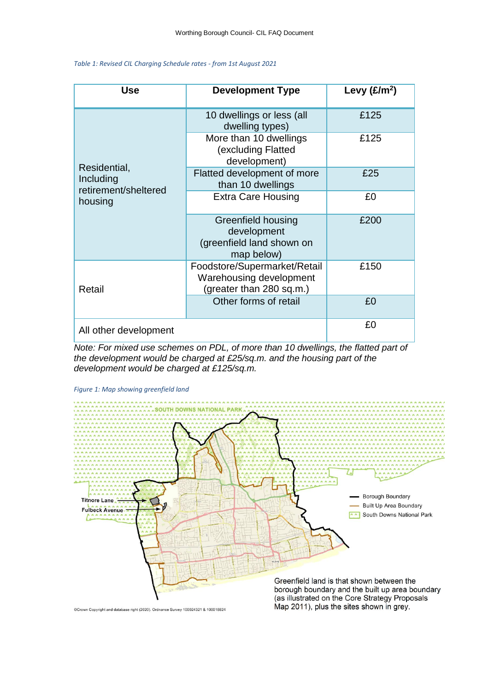#### *Table 1: Revised CIL Charging Schedule rates - from 1st August 2021*

| Use                                                          | <b>Development Type</b>                                                             | Levy $(E/m^2)$ |
|--------------------------------------------------------------|-------------------------------------------------------------------------------------|----------------|
| Residential,<br>Including<br>retirement/sheltered<br>housing | 10 dwellings or less (all<br>dwelling types)                                        | £125           |
|                                                              | More than 10 dwellings<br>(excluding Flatted<br>development)                        | £125           |
|                                                              | Flatted development of more<br>than 10 dwellings                                    | £25            |
|                                                              | <b>Extra Care Housing</b>                                                           | £0             |
|                                                              | Greenfield housing<br>development<br>(greenfield land shown on<br>map below)        | £200           |
| Retail                                                       | Foodstore/Supermarket/Retail<br>Warehousing development<br>(greater than 280 sq.m.) | £150           |
|                                                              | Other forms of retail                                                               | £0             |
| All other development                                        |                                                                                     | £0             |

*Note: For mixed use schemes on PDL, of more than 10 dwellings, the flatted part of the development would be charged at £25/sq.m. and the housing part of the development would be charged at £125/sq.m.*



*Figure 1: Map showing greenfield land*

Crown Copyright and database right (2020). Ordnance Survey 100024321 & 100018824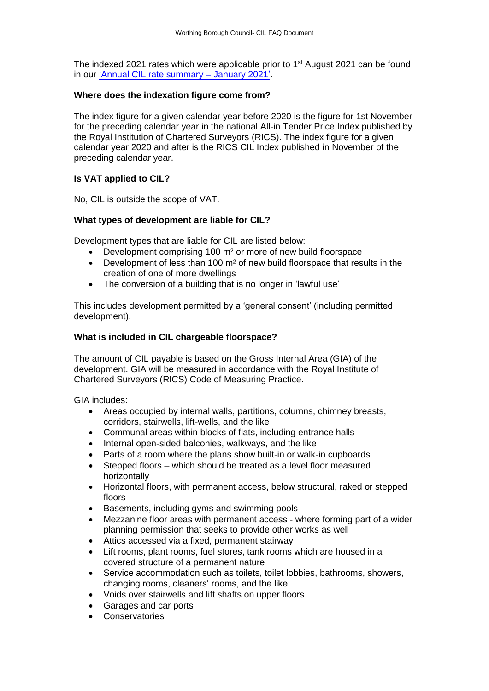The indexed 2021 rates which were applicable prior to 1<sup>st</sup> August 2021 can be found in our ['Annual CIL rate summary –](http://www.adur-worthing.gov.uk/media/Media,156039,smxx.pdf) January 2021'.

### **Where does the indexation figure come from?**

The index figure for a given calendar year before 2020 is the figure for 1st November for the preceding calendar year in the national All-in Tender Price Index published by the Royal Institution of Chartered Surveyors (RICS). The index figure for a given calendar year 2020 and after is the RICS CIL Index published in November of the preceding calendar year.

## **Is VAT applied to CIL?**

No, CIL is outside the scope of VAT.

### **What types of development are liable for CIL?**

Development types that are liable for CIL are listed below:

- Development comprising 100 m<sup>2</sup> or more of new build floorspace
- Development of less than 100 m² of new build floorspace that results in the creation of one of more dwellings
- The conversion of a building that is no longer in 'lawful use'

This includes development permitted by a 'general consent' (including permitted development).

#### **What is included in CIL chargeable floorspace?**

The amount of CIL payable is based on the Gross Internal Area (GIA) of the development. GIA will be measured in accordance with the Royal Institute of Chartered Surveyors (RICS) Code of Measuring Practice.

GIA includes:

- Areas occupied by internal walls, partitions, columns, chimney breasts, corridors, stairwells, lift-wells, and the like
- Communal areas within blocks of flats, including entrance halls
- Internal open-sided balconies, walkways, and the like
- Parts of a room where the plans show built-in or walk-in cupboards
- Stepped floors which should be treated as a level floor measured horizontally
- Horizontal floors, with permanent access, below structural, raked or stepped floors
- Basements, including gyms and swimming pools
- Mezzanine floor areas with permanent access where forming part of a wider planning permission that seeks to provide other works as well
- Attics accessed via a fixed, permanent stairway
- Lift rooms, plant rooms, fuel stores, tank rooms which are housed in a covered structure of a permanent nature
- Service accommodation such as toilets, toilet lobbies, bathrooms, showers, changing rooms, cleaners' rooms, and the like
- Voids over stairwells and lift shafts on upper floors
- Garages and car ports
- Conservatories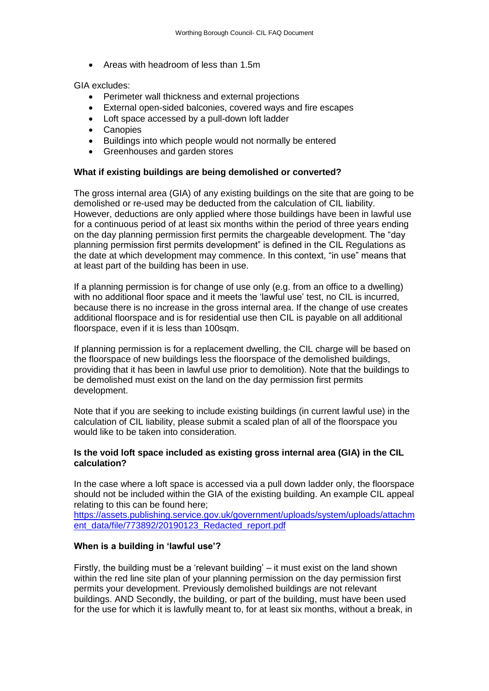• Areas with headroom of less than 1.5m

GIA excludes:

- Perimeter wall thickness and external projections
- External open-sided balconies, covered ways and fire escapes
- Loft space accessed by a pull-down loft ladder
- Canopies
- Buildings into which people would not normally be entered
- Greenhouses and garden stores

#### **What if existing buildings are being demolished or converted?**

The gross internal area (GIA) of any existing buildings on the site that are going to be demolished or re-used may be deducted from the calculation of CIL liability. However, deductions are only applied where those buildings have been in lawful use for a continuous period of at least six months within the period of three years ending on the day planning permission first permits the chargeable development. The "day planning permission first permits development" is defined in the CIL Regulations as the date at which development may commence. In this context, "in use" means that at least part of the building has been in use.

If a planning permission is for change of use only (e.g. from an office to a dwelling) with no additional floor space and it meets the 'lawful use' test, no CIL is incurred, because there is no increase in the gross internal area. If the change of use creates additional floorspace and is for residential use then CIL is payable on all additional floorspace, even if it is less than 100sqm.

If planning permission is for a replacement dwelling, the CIL charge will be based on the floorspace of new buildings less the floorspace of the demolished buildings, providing that it has been in lawful use prior to demolition). Note that the buildings to be demolished must exist on the land on the day permission first permits development.

Note that if you are seeking to include existing buildings (in current lawful use) in the calculation of CIL liability, please submit a scaled plan of all of the floorspace you would like to be taken into consideration.

#### **Is the void loft space included as existing gross internal area (GIA) in the CIL calculation?**

In the case where a loft space is accessed via a pull down ladder only, the floorspace should not be included within the GIA of the existing building. An example CIL appeal relating to this can be found here;

[https://assets.publishing.service.gov.uk/government/uploads/system/uploads/attachm](https://assets.publishing.service.gov.uk/government/uploads/system/uploads/attachment_data/file/773892/20190123_Redacted_report.pdf) [ent\\_data/file/773892/20190123\\_Redacted\\_report.pdf](https://assets.publishing.service.gov.uk/government/uploads/system/uploads/attachment_data/file/773892/20190123_Redacted_report.pdf)

### **When is a building in 'lawful use'?**

Firstly, the building must be a 'relevant building' – it must exist on the land shown within the red line site plan of your planning permission on the day permission first permits your development. Previously demolished buildings are not relevant buildings. AND Secondly, the building, or part of the building, must have been used for the use for which it is lawfully meant to, for at least six months, without a break, in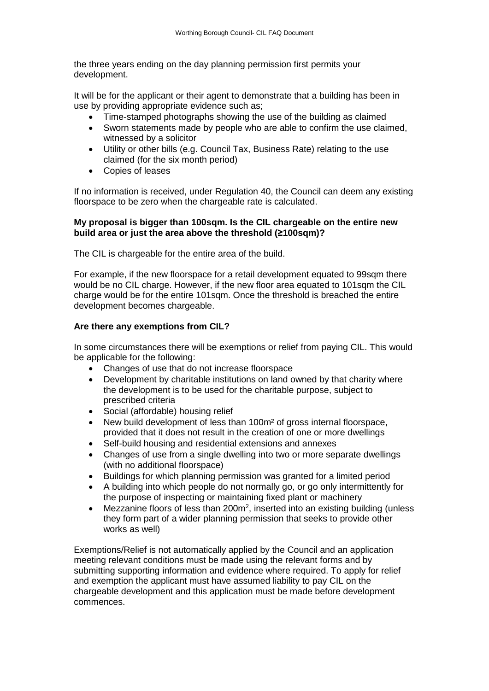the three years ending on the day planning permission first permits your development.

It will be for the applicant or their agent to demonstrate that a building has been in use by providing appropriate evidence such as;

- Time-stamped photographs showing the use of the building as claimed
- Sworn statements made by people who are able to confirm the use claimed, witnessed by a solicitor
- Utility or other bills (e.g. Council Tax, Business Rate) relating to the use claimed (for the six month period)
- Copies of leases

If no information is received, under Regulation 40, the Council can deem any existing floorspace to be zero when the chargeable rate is calculated.

### **My proposal is bigger than 100sqm. Is the CIL chargeable on the entire new build area or just the area above the threshold (≥100sqm)?**

The CIL is chargeable for the entire area of the build.

For example, if the new floorspace for a retail development equated to 99sqm there would be no CIL charge. However, if the new floor area equated to 101sqm the CIL charge would be for the entire 101sqm. Once the threshold is breached the entire development becomes chargeable.

## **Are there any exemptions from CIL?**

In some circumstances there will be exemptions or relief from paying CIL. This would be applicable for the following:

- Changes of use that do not increase floorspace
- Development by charitable institutions on land owned by that charity where the development is to be used for the charitable purpose, subject to prescribed criteria
- Social (affordable) housing relief
- New build development of less than 100m² of gross internal floorspace, provided that it does not result in the creation of one or more dwellings
- Self-build housing and residential extensions and annexes
- Changes of use from a single dwelling into two or more separate dwellings (with no additional floorspace)
- Buildings for which planning permission was granted for a limited period
- A building into which people do not normally go, or go only intermittently for the purpose of inspecting or maintaining fixed plant or machinery
- $\bullet$  Mezzanine floors of less than 200 $m^2$ , inserted into an existing building (unless they form part of a wider planning permission that seeks to provide other works as well)

Exemptions/Relief is not automatically applied by the Council and an application meeting relevant conditions must be made using the relevant forms and by submitting supporting information and evidence where required. To apply for relief and exemption the applicant must have assumed liability to pay CIL on the chargeable development and this application must be made before development commences.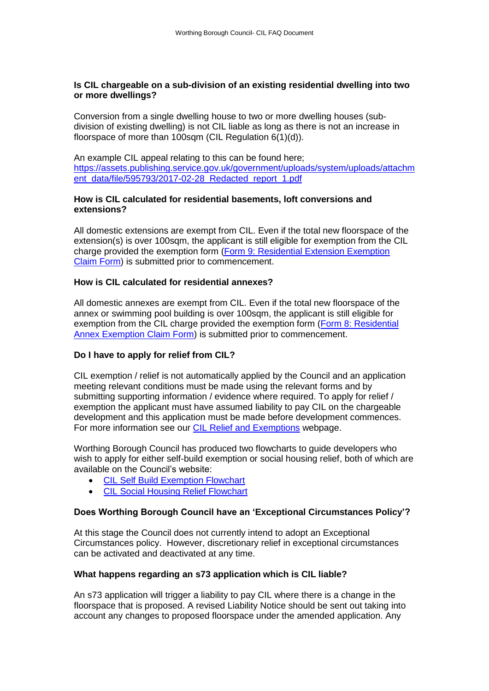#### **Is CIL chargeable on a sub-division of an existing residential dwelling into two or more dwellings?**

Conversion from a single dwelling house to two or more dwelling houses (subdivision of existing dwelling) is not CIL liable as long as there is not an increase in floorspace of more than 100sqm (CIL Regulation 6(1)(d)).

An example CIL appeal relating to this can be found here; [https://assets.publishing.service.gov.uk/government/uploads/system/uploads/attachm](https://assets.publishing.service.gov.uk/government/uploads/system/uploads/attachment_data/file/595793/2017-02-28_Redacted_report_1.pdf) [ent\\_data/file/595793/2017-02-28\\_Redacted\\_report\\_1.pdf](https://assets.publishing.service.gov.uk/government/uploads/system/uploads/attachment_data/file/595793/2017-02-28_Redacted_report_1.pdf)

### **How is CIL calculated for residential basements, loft conversions and extensions?**

All domestic extensions are exempt from CIL. Even if the total new floorspace of the extension(s) is over 100sqm, the applicant is still eligible for exemption from the CIL charge provided the exemption form [\(Form 9: Residential Extension Exemption](http://ecab.planningportal.co.uk/uploads/1app/forms/form_9_extension_exemption_claim.pdf)  [Claim Form\)](http://ecab.planningportal.co.uk/uploads/1app/forms/form_9_extension_exemption_claim.pdf) is submitted prior to commencement.

#### **How is CIL calculated for residential annexes?**

All domestic annexes are exempt from CIL. Even if the total new floorspace of the annex or swimming pool building is over 100sqm, the applicant is still eligible for exemption from the CIL charge provided the exemption form [\(Form 8: Residential](http://ecab.planningportal.co.uk/uploads/1app/forms/form_8_residential_annex_claim.pdf)  [Annex Exemption Claim Form\)](http://ecab.planningportal.co.uk/uploads/1app/forms/form_8_residential_annex_claim.pdf) is submitted prior to commencement.

### **Do I have to apply for relief from CIL?**

CIL exemption / relief is not automatically applied by the Council and an application meeting relevant conditions must be made using the relevant forms and by submitting supporting information / evidence where required. To apply for relief / exemption the applicant must have assumed liability to pay CIL on the chargeable development and this application must be made before development commences. For more information see our [CIL Relief and Exemptions](https://www.adur-worthing.gov.uk/worthing-cil/relief-and-exemptions/) webpage.

Worthing Borough Council has produced two flowcharts to guide developers who wish to apply for either self-build exemption or social housing relief, both of which are available on the Council's website:

- [CIL Self Build Exemption Flowchart](https://www.adur-worthing.gov.uk/media/Media,155267,smxx.pdf)
- [CIL Social Housing Relief Flowchart](https://www.adur-worthing.gov.uk/media/Media,155268,smxx.pdf)

### **Does Worthing Borough Council have an 'Exceptional Circumstances Policy'?**

At this stage the Council does not currently intend to adopt an Exceptional Circumstances policy. However, discretionary relief in exceptional circumstances can be activated and deactivated at any time.

#### **What happens regarding an s73 application which is CIL liable?**

An s73 application will trigger a liability to pay CIL where there is a change in the floorspace that is proposed. A revised Liability Notice should be sent out taking into account any changes to proposed floorspace under the amended application. Any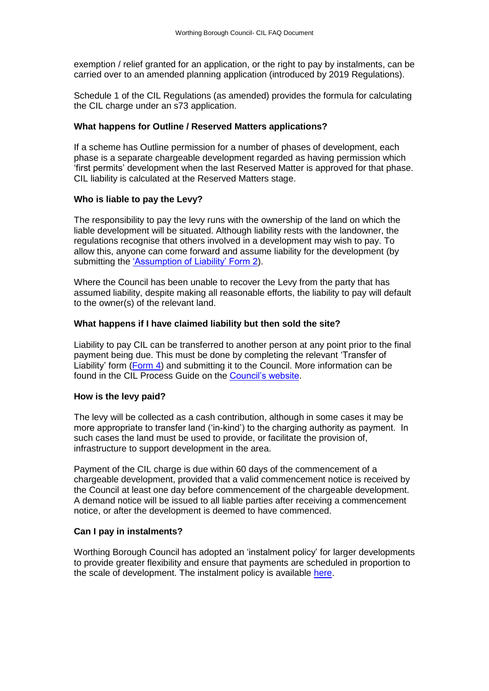exemption / relief granted for an application, or the right to pay by instalments, can be carried over to an amended planning application (introduced by 2019 Regulations).

Schedule 1 of the CIL Regulations (as amended) provides the formula for calculating the CIL charge under an s73 application.

#### **What happens for Outline / Reserved Matters applications?**

If a scheme has Outline permission for a number of phases of development, each phase is a separate chargeable development regarded as having permission which 'first permits' development when the last Reserved Matter is approved for that phase. CIL liability is calculated at the Reserved Matters stage.

#### **Who is liable to pay the Levy?**

The responsibility to pay the levy runs with the ownership of the land on which the liable development will be situated. Although liability rests with the landowner, the regulations recognise that others involved in a development may wish to pay. To allow this, anyone can come forward and assume liability for the development (by submitting the ['Assumption of Liability' Form 2\)](https://ecab.planningportal.co.uk/uploads/1app/forms/form_2_assumption_of_liability.pdf).

Where the Council has been unable to recover the Levy from the party that has assumed liability, despite making all reasonable efforts, the liability to pay will default to the owner(s) of the relevant land.

#### **What happens if I have claimed liability but then sold the site?**

Liability to pay CIL can be transferred to another person at any point prior to the final payment being due. This must be done by completing the relevant 'Transfer of Liability' form [\(Form 4\)](https://ecab.planningportal.co.uk/uploads/1app/forms/form_4_transfer_of_assumed_liability.pdf) and submitting it to the Council. More information can be found in the CIL Process Guide on the [Council's website.](https://www.adur-worthing.gov.uk/worthing-cil/about-cil/)

#### **How is the levy paid?**

The levy will be collected as a cash contribution, although in some cases it may be more appropriate to transfer land ('in-kind') to the charging authority as payment. In such cases the land must be used to provide, or facilitate the provision of, infrastructure to support development in the area.

Payment of the CIL charge is due within 60 days of the commencement of a chargeable development, provided that a valid commencement notice is received by the Council at least one day before commencement of the chargeable development. A demand notice will be issued to all liable parties after receiving a commencement notice, or after the development is deemed to have commenced.

#### **Can I pay in instalments?**

Worthing Borough Council has adopted an 'instalment policy' for larger developments to provide greater flexibility and ensure that payments are scheduled in proportion to the scale of development. The instalment policy is available [here.](https://www.adur-worthing.gov.uk/media/media,147408,en.pdf)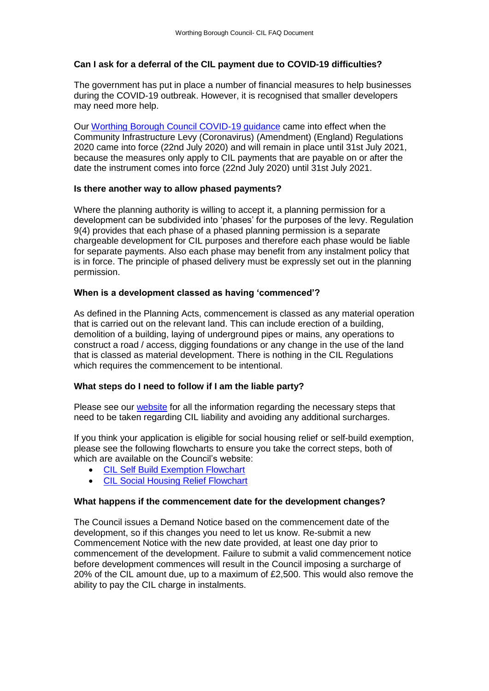## **Can I ask for a deferral of the CIL payment due to COVID-19 difficulties?**

The government has put in place a number of financial measures to help businesses during the COVID-19 outbreak. However, it is recognised that smaller developers may need more help.

Our [Worthing Borough Council COVID-19 guidance](https://www.adur-worthing.gov.uk/media/Media,157696,smxx.pdf) came into effect when the Community Infrastructure Levy (Coronavirus) (Amendment) (England) Regulations 2020 came into force (22nd July 2020) and will remain in place until 31st July 2021, because the measures only apply to CIL payments that are payable on or after the date the instrument comes into force (22nd July 2020) until 31st July 2021.

#### **Is there another way to allow phased payments?**

Where the planning authority is willing to accept it, a planning permission for a development can be subdivided into 'phases' for the purposes of the levy. Regulation 9(4) provides that each phase of a phased planning permission is a separate chargeable development for CIL purposes and therefore each phase would be liable for separate payments. Also each phase may benefit from any instalment policy that is in force. The principle of phased delivery must be expressly set out in the planning permission.

#### **When is a development classed as having 'commenced'?**

As defined in the Planning Acts, commencement is classed as any material operation that is carried out on the relevant land. This can include erection of a building, demolition of a building, laying of underground pipes or mains, any operations to construct a road / access, digging foundations or any change in the use of the land that is classed as material development. There is nothing in the CIL Regulations which requires the commencement to be intentional.

### **What steps do I need to follow if I am the liable party?**

Please see our [website](https://www.adur-worthing.gov.uk/worthing-cil/about-cil/) for all the information regarding the necessary steps that need to be taken regarding CIL liability and avoiding any additional surcharges.

If you think your application is eligible for social housing relief or self-build exemption, please see the following flowcharts to ensure you take the correct steps, both of which are available on the Council's website:

- [CIL Self Build Exemption Flowchart](https://www.adur-worthing.gov.uk/media/Media,155267,smxx.pdf)
- [CIL Social Housing Relief Flowchart](https://www.adur-worthing.gov.uk/media/Media,155268,smxx.pdf)

#### **What happens if the commencement date for the development changes?**

The Council issues a Demand Notice based on the commencement date of the development, so if this changes you need to let us know. Re-submit a new Commencement Notice with the new date provided, at least one day prior to commencement of the development. Failure to submit a valid commencement notice before development commences will result in the Council imposing a surcharge of 20% of the CIL amount due, up to a maximum of £2,500. This would also remove the ability to pay the CIL charge in instalments.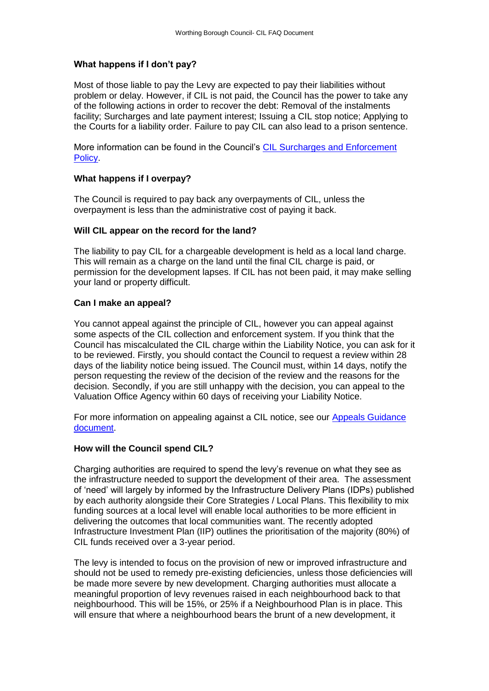#### **What happens if I don't pay?**

Most of those liable to pay the Levy are expected to pay their liabilities without problem or delay. However, if CIL is not paid, the Council has the power to take any of the following actions in order to recover the debt: Removal of the instalments facility; Surcharges and late payment interest; Issuing a CIL stop notice; Applying to the Courts for a liability order. Failure to pay CIL can also lead to a prison sentence.

More information can be found in the Council's [CIL Surcharges and Enforcement](https://www.adur-worthing.gov.uk/media/Media,160804,smxx.pdf)  [Policy.](https://www.adur-worthing.gov.uk/media/Media,160804,smxx.pdf)

#### **What happens if I overpay?**

The Council is required to pay back any overpayments of CIL, unless the overpayment is less than the administrative cost of paying it back.

#### **Will CIL appear on the record for the land?**

The liability to pay CIL for a chargeable development is held as a local land charge. This will remain as a charge on the land until the final CIL charge is paid, or permission for the development lapses. If CIL has not been paid, it may make selling your land or property difficult.

#### **Can I make an appeal?**

You cannot appeal against the principle of CIL, however you can appeal against some aspects of the CIL collection and enforcement system. If you think that the Council has miscalculated the CIL charge within the Liability Notice, you can ask for it to be reviewed. Firstly, you should contact the Council to request a review within 28 days of the liability notice being issued. The Council must, within 14 days, notify the person requesting the review of the decision of the review and the reasons for the decision. Secondly, if you are still unhappy with the decision, you can appeal to the Valuation Office Agency within 60 days of receiving your Liability Notice.

For more information on appealing against a CIL notice, see our [Appeals Guidance](https://www.adur-worthing.gov.uk/media/media,155266,en.pdf)  [document.](https://www.adur-worthing.gov.uk/media/media,155266,en.pdf)

#### **How will the Council spend CIL?**

Charging authorities are required to spend the levy's revenue on what they see as the infrastructure needed to support the development of their area. The assessment of 'need' will largely by informed by the Infrastructure Delivery Plans (IDPs) published by each authority alongside their Core Strategies / Local Plans. This flexibility to mix funding sources at a local level will enable local authorities to be more efficient in delivering the outcomes that local communities want. The recently adopted Infrastructure Investment Plan (IIP) outlines the prioritisation of the majority (80%) of CIL funds received over a 3-year period.

The levy is intended to focus on the provision of new or improved infrastructure and should not be used to remedy pre-existing deficiencies, unless those deficiencies will be made more severe by new development. Charging authorities must allocate a meaningful proportion of levy revenues raised in each neighbourhood back to that neighbourhood. This will be 15%, or 25% if a Neighbourhood Plan is in place. This will ensure that where a neighbourhood bears the brunt of a new development, it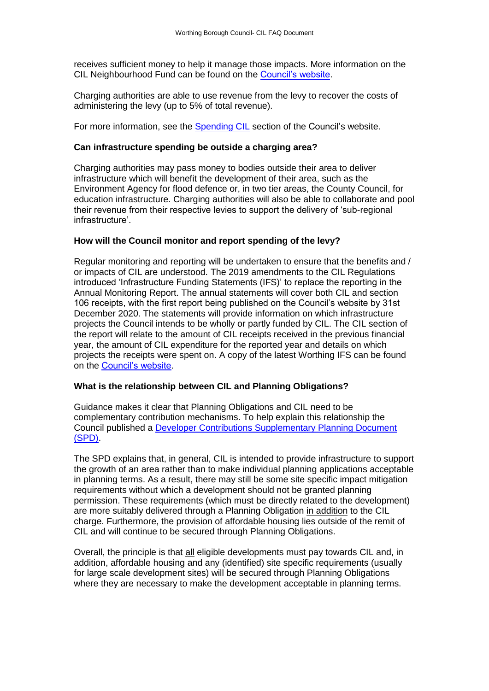receives sufficient money to help it manage those impacts. More information on the CIL Neighbourhood Fund can be found on the [Council's website.](https://www.adur-worthing.gov.uk/worthing-cil/neighbourhood-fund/)

Charging authorities are able to use revenue from the levy to recover the costs of administering the levy (up to 5% of total revenue).

For more information, see the [Spending CIL](https://www.adur-worthing.gov.uk/worthing-cil/spending-cil/) section of the Council's website.

#### **Can infrastructure spending be outside a charging area?**

Charging authorities may pass money to bodies outside their area to deliver infrastructure which will benefit the development of their area, such as the Environment Agency for flood defence or, in two tier areas, the County Council, for education infrastructure. Charging authorities will also be able to collaborate and pool their revenue from their respective levies to support the delivery of 'sub-regional infrastructure'.

### **How will the Council monitor and report spending of the levy?**

Regular monitoring and reporting will be undertaken to ensure that the benefits and / or impacts of CIL are understood. The 2019 amendments to the CIL Regulations introduced 'Infrastructure Funding Statements (IFS)' to replace the reporting in the Annual Monitoring Report. The annual statements will cover both CIL and section 106 receipts, with the first report being published on the Council's website by 31st December 2020. The statements will provide information on which infrastructure projects the Council intends to be wholly or partly funded by CIL. The CIL section of the report will relate to the amount of CIL receipts received in the previous financial year, the amount of CIL expenditure for the reported year and details on which projects the receipts were spent on. A copy of the latest Worthing IFS can be found on the [Council's website.](http://www.adur-worthing.gov.uk/planning-policy/worthing/developer-contributions-data-worthing/#infrastructure-funding-statement)

#### **What is the relationship between CIL and Planning Obligations?**

Guidance makes it clear that Planning Obligations and CIL need to be complementary contribution mechanisms. To help explain this relationship the Council published a [Developer Contributions Supplementary Planning Document](https://www.adur-worthing.gov.uk/media/media,135907,en.pdf)  [\(SPD\).](https://www.adur-worthing.gov.uk/media/media,135907,en.pdf)

The SPD explains that, in general, CIL is intended to provide infrastructure to support the growth of an area rather than to make individual planning applications acceptable in planning terms. As a result, there may still be some site specific impact mitigation requirements without which a development should not be granted planning permission. These requirements (which must be directly related to the development) are more suitably delivered through a Planning Obligation in addition to the CIL charge. Furthermore, the provision of affordable housing lies outside of the remit of CIL and will continue to be secured through Planning Obligations.

Overall, the principle is that all eligible developments must pay towards CIL and, in addition, affordable housing and any (identified) site specific requirements (usually for large scale development sites) will be secured through Planning Obligations where they are necessary to make the development acceptable in planning terms.